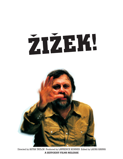# ŽIŽEK



Directed by ASTRA TAYLOR Produced by LAWRENCE KONNER Edited by LAURA HANNA **A ZEITGEIST FILMS RELEASE**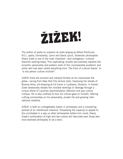# ŽIŽEK!

The author of works on subjects as wide-ranging as Alfred Hitchcock, 9/11, opera, Christianity, Lenin and David Lynch, Slovenian philosopher Slavoj Zizek is one of the most important—and outrageous—cultural theorists working today. This captivating, erudite documentary explores the eccentric personality and esoteric work of this incomparable academic and writer who has been called everything from "the Elvis of cultural theory" to "a one person culture mulcher".

ZIZEK! trails the eminent and intrepid thinker as he crisscrosses the globe—racing from New York City lecture halls, traversing the streets of Buenos Aires, pit-stopping at his home in Ljubljana, Slovenia. In transit, Zizek obsessively reveals the invisible workings of ideology through a unique blend of Lacanian psychoanalysis, Marxism and pop culture critique. He is also unafraid to turn his critical gaze on himself, offering cutting commentary on his personality, private life and growing international celebrity.

ZIZEK! is both an unforgettable lesson in philosophy and a compelling portrait of an intellectual maverick. Possessing the capacity to appeal to the uninitiated in a way no other philosopher before him could, Slavoj Zizek's combination of high and low culture will fascinate even those who once believed philosophy to be a bore.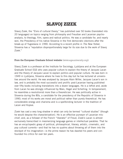# **SLAVOJ ZIZEK**

Slavoj Zizek, the "Elvis of cultural theory," has published over 50 books (translated into 20 languages) on topics ranging from philosophy and Freudian and Lacanian psychoanalysis, to theology, film, opera and radical politics. He was a candidate for, and nearly won, the Presidency of his native Slovenia in the first democratic elections after the break-up of Yugoslavia in 1990. According to a recent profile in *The New Yorker*, Slovenia has a "reputation disproportionately large for its size due to the work of Slavoj Zizek."

#### From the European Graduate School website (www.egsuniversity.org):

Slavoj Zizek is a professor at the Institute for Sociology, Ljubljana and at the European Graduate School EGS who uses popular culture to explain the theory of Jacques Lacan and the theory of Jacques Lacan to explain politics and popular culture. He was born in 1949 in Ljubljana, Slovenia where he lives to this day but he has lectured at universities around the world. He was analysed by Jacques Alain Miller, Jacques Lacan's son in law, and is probably the most successful and prolific post-Lacanian having published over fifty books including translations into a dozen languages. He is a leftist and, aside from Lacan he was strongly influenced by Marx, Hegel and Schelling. In temperament, he resembles a revolutionist more than a theoretician. He was politically active in Slovenia during the 80s, a candidate for the presidency of the Republic of Slovenia in 1990; most of his works are moral and political rather than purely theoretical. He has considerable energy and charisma and is a spellbinding lecturer in the tradition of Lacan and Kojeve.

Zizek has cast a very long shadow in what can only be termed "cultural studies" (though he would despise the characterization). He is an effective purveyor of Lacanian mischief, and, as a follower of the French "liberator" of Freud, Zizek's Lacan is almost exclusively transcribed in mesmerizing language games or intellectual parables. That he has an encyclopedic grasp of political, philosophical, literary, artistic, cinematic, and pop cultural currents—and that he has no qualms about throwing all of them into the stockpot of his imagination—is the prime reason he has dazzled his peers and confounded his critics for over ten years.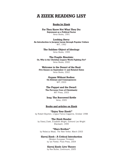### **A ZIZEK READING LIST**

#### **Books by Zizek**

**For They Know Not What They Do: Enjoyment as a Political Factor** Verso Books, 1991

**Looking Awry: An Introduction to Jacques Lacan through Popular Culture** MIT, 1992

> **The Sublime Object of Ideology** Verso Books, 1999

**The Fragile Absolute: Or, Why is the Christian Legacy Worth Fighting For?** Verso Books, 2000

**Welcome to the Desert of the Real: Five Essays on September 11 and Related Dates** Verso Books, 2002

> **Organs Without Bodies: On Deleuze and Consequences** MIT, 2003

**The Puppet and the Dwarf: The Perverse Core of Christianity** MIT Press, 2003

**Iraq: The Borrowed Kettle** Verso, 2005

#### **Books and articles on Zizek**

**"Enjoy Your Zizek!"** by Robert Boynton, *Lingua Franca* magazine, October 1998

**The Zizek Reader** by Slavoj Zizek, Elizabeth Wright, Edmond Leo Wright Blackwell, 1999

**"Marx Brother"** by Rebecca Mead, *The New Yorker*, March 2003

**Slavoj Zizek : A Critical Introduction**  (Modern European Thinkers)

by Ian Parker, Pluto Press, 2004

#### **Slavoj Zizek: Live Theory**

by Rex Butler, Continuum, 2005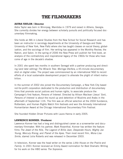## **THE FILMMAKERS**

#### **ASTRA TAYLOR / Director**

Astra Taylor was born in Winnipeg, Manitoba in 1979 and raised in Athens, Georgia. She currently divides her energy between scholarly pursuits and politically focused documentary filmmaking.

She holds an MA in Liberal Studies from the New School for Social Research and has been an instructor in sociology departments at the University of Georgia and State University of New York, New Paltz where she has taught classes on social theory, globalization, and the sociology of film. Her writing has appeared in the Monthly Review, the Nation, and Salon. In the spring of 2006 the New Press will publish her first book, an analysis of the contradictory and inspirational legacy of the 1960s for those who have come of age in the decade's shadow.

In 2001 she spent two months in southern Senegal with a partner producing and directing (and later editing) *The Miracle Tree: Moringa Oleifera*, a 45-minute documentary shot on digital video. The project was commissioned by an international NGO to record efforts of a local sustainable development project to alleviate the plight of infant malnutrition.

In the summer of 2002 she joined the Documentary Campaign, a New York City based not-for-profit corporation dedicated to the production and distribution of documentary films that promote social justices and human rights, to associate produce the Campaign's first feature, *Persons of Interest*. Directed by Allison Maclean (*Jesus' Son*), *Persons of Interest* is about the round up and detention of Muslims and Arabs in the aftermath of September 11th. The film was an official selection at the 2004 Sundance, Rotterdam, and Human Rights Watch film festivals and won the Amnesty International Humanitarian Award at the Chicago International Documentary Film Festival.

She founded Hidden Driver Pictures with Laura Hanna in early 2005.

#### **LAWRENCE KONNER / Producer**

Lawrence Konner has had a long and distinguished career as a screenwriter and documentary filmmaker. With his partner, Mark Rosenthal, Konner has written the feature films *The Jewel of the Nile*, *The Legend of Billie Jean*, *Desperate Hours*, *Mighty Joe Young*, *Mercury Rising*, and *Planet of the Apes*. Their most recent film, *Mona Lisa Smile*, starred Julia Roberts and was released in December 2003.

In television, Konner was the head writer on the series *Little House on the Prairie* and *Family*. In 2001 Konner received an Emmy Award nomination for Best Dramatic Writing for his work on the HBO series *The Sopranos*.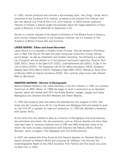In 1995, Konner produced and directed a documentary short, *One Thing I Know*, which premiered at the Sundance Film Festival, screened at the Cannes Film Festival, and won the Special Jury Prize at the U.S.A. Film Festival. In 2003 Konner produced *Persons of Interest*, a feature length documentary about the illegal detentions of thousands of Muslims in the aftermath of September 11th.

Konner is a former member of the Board of Directors of The Writers Guild of America, and a former Creative Director at the Sundance Institute. He is a member of The Academy of Motion Picture Arts and Sciences.

#### **LAURA HANNA / Editor and Sound Recordist**

Laura Hanna is a co-founder of Hidden Driver Pictures. She has worked in film/television in New York City for the past five years doing post production mixing, editing, sound design, as well as installation and location recording. The following is a partial list of projects she has worked on in the previous mentioned capacities: *Road to Paris* (CBS 2002), *Shots in the Dark* (CTV 2002), *JustifiableHomicide* (2002), *A Day in the Life of Africa* (2003), *The Perpetual Life Of Jim Albers* (Sundance 2003), *Academy Awards Open* (Errol Morris 2003), *Hollywood High* (AMC 2003), *Metallica: Some Kind of Monster* (DVD for feature Sundance 2004). She currently plays music with Hannah Marcus (Bar-None).

#### **MARTINA RADWAN / Director of Photography**

Martina Radwan started in her native Germany in the film industry in 1987 as a Camera Technician at ARRI, Berlin. In 1988 she began to work in production as an Assistant Camera, where she worked with DP's like Robby Mueller, Juergen Juerges and Sophy Mantigneux and directors like Wim Wenders and Albert Maysles.

In 1995 she moved to New York where she attended the film program at NYU. She broke into the industry as an AC for Lisa Rinzler and Wolfgang Held and started to work as 2nd Unit DP or operator for high-end production. In 1999 she attended a workshop with Gordon Willis.

At the same time she started to work as a Director of Photography and shoot features, documentaries and shorts. Her documentaries, such as *Vertical Traveler* and *Ferry Tales*, have been seen in numerous festivals and on PBS and HBO along with many of her shorts. Her work includes collaborations with directors like Rebecca Miller, Allison Maclean, Jenny Livingston, Pola Rappaport and Tina DiFeliciantonio.

In 2001 she worked with Ellen Kuras as 2nd Camera Operator on *Personal Velocity*, a feature directed by Rebecca Miller and produced by InDiGent. The film won the Cinematographer Award at the 2002 Sundance Film Festival and The Grand Jury prize for Best Film in 2002.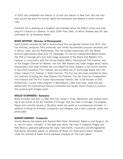In 2002 she completed one feature in LA and one feature in New York. She has traveled around the world for human rights documentaries and started to shoot commercials.

Currently she is working on a longterm documentary about the Dalton school and prepping for a feature in Lebanon. In early 2004 *Ferry Tales*, on which Radwan was DP, was nominated for an Academy Award.

#### **JESSE EPSTEIN / Director of Photography**

Jesse Epstein received an MA in documentary film and gender studies from NYU. She has directed, produced, field produced, and filmed documentary projects nationally and in Africa, India, and the Netherlands. She has worked extensively with the Media Activist organizations Deep Dish TV, Papertiger TV, and the Independent Media Center. Her PSA on teenage girls and body image appeared at the Media that Matters Film Festival, in conjunction with the Human Rights Watch International Film Festival, and on the Oxygen Channel for Women. Her film *Wet Dreams and False Images* about media manipulation and body received the Jury Award for Short Subject in the Online Section of the 2004 Sundance Film Festival, and the Best Use of Technology Award from the Urban Literary Film Festival in North Carolina. The film has also been selected by other film festivals including the New Orleans Film Festival, The San Francisco Independent Film Festival and The Full Frame Documentary Festival. She is the founder of GSS. Productions, a youth video program in Manhattan's Lower East Side. Jesse has also worked with the International Rescue Committee and Global Action Project to produce film projects with refugee youth.

#### **MOLLY SCHWARTZ / Animator**

Molly Schwartz was born in New York City, raised in Tulsa, Oklahoma, and studied painting at the school of the Art Institute of Chicago. She has lived in Chicago, Los Angeles, Nepal and currently resides in Brooklyn where she works as a professional animator. In addition to being an animator, compositor and designer, she is also a painter, potter and photo-taker.

#### **JEREMY BARNES / Composer**

Jeremy Barnes has played with Neutral Milk Hotel, Broadcast, Bablicon and Guignol. He is, like his music, nomadic. In the past year alone, has lived in England, Prague and New Mexico, gradually gathering the many instruments, musicians and ethnographies that would ultimately appear on *Darkness At Noon*, his most recent album released under the moniker A Hawk And A Hacksaw (released on The Leaf Label).